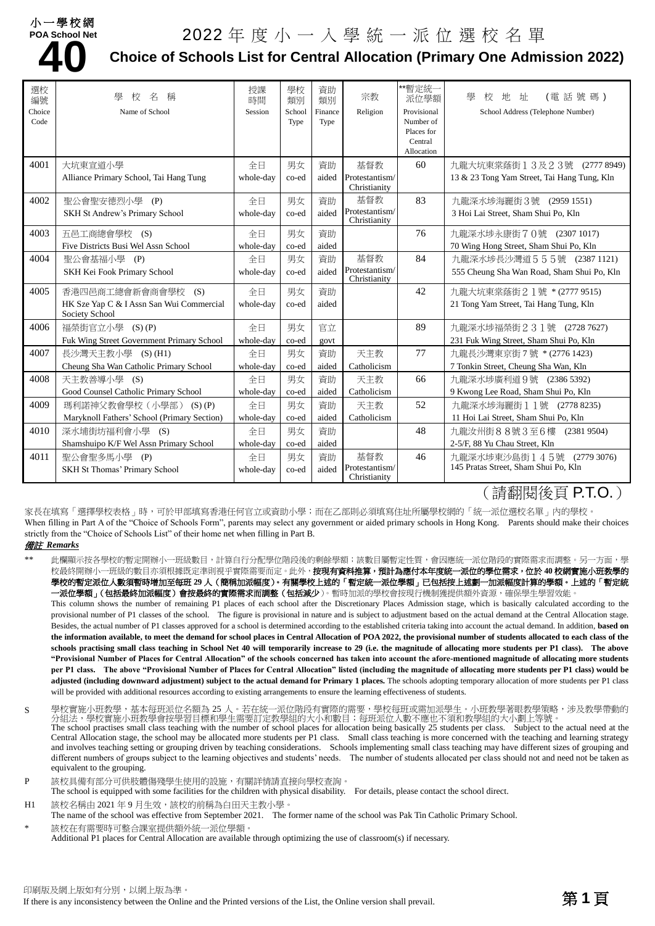### 小一學校網 **POA School Net**

# **4. School Net 2022** 年 度 小 一 人 學 統 一 派 位 選 校 名 單<br>40 Choice of Schools List for Central Allocation (Primary One Admi **Choice of Schools List for Central Allocation (Primary One Admission 2022)**

| 選校<br>編號<br>Choice<br>Code | 壆<br>名<br>稱<br>校<br>Name of School                         | 授課<br>時間<br>Session | 學校<br>類別<br>School<br>Type | 資助<br>類別<br>Finance<br>Type | 宗教<br>Religion                 | **暫定統一<br>派位學額<br>Provisional<br>Number of<br>Places for<br>Central<br>Allocation | 壆<br>(電話號碼)<br>校<br>地<br>址<br>School Address (Telephone Number) |
|----------------------------|------------------------------------------------------------|---------------------|----------------------------|-----------------------------|--------------------------------|-----------------------------------------------------------------------------------|-----------------------------------------------------------------|
| 4001                       | 大坑東宣道小學                                                    | 全日                  | 男女                         | 資助                          | 基督教                            | 60                                                                                | 九龍大坑東棠蔭街13及23號 (2777 8949)                                      |
|                            | Alliance Primary School, Tai Hang Tung                     | whole-day           | co-ed                      | aided                       | Protestantism/<br>Christianity |                                                                                   | 13 & 23 Tong Yam Street, Tai Hang Tung, Kln                     |
| 4002                       | 聖公會聖安德烈小學<br>(P)                                           | 全日                  | 男女                         | 資助                          | 基督教                            | 83                                                                                | 九龍深水埗海麗街3號 (2959 1551)                                          |
|                            | <b>SKH St Andrew's Primary School</b>                      | whole-day           | co-ed                      | aided                       | Protestantism/<br>Christianity |                                                                                   | 3 Hoi Lai Street, Sham Shui Po, Kln                             |
| 4003                       | 五邑工商總會學校 (S)                                               | 全日                  | 男女                         | 資助                          |                                | 76                                                                                | 九龍深水埗永康街70號 (2307 1017)                                         |
|                            | Five Districts Busi Wel Assn School                        | whole-day           | co-ed                      | aided                       |                                |                                                                                   | 70 Wing Hong Street, Sham Shui Po, Kln                          |
| 4004                       | 聖公會基福小學 (P)                                                | 全日                  | 男女                         | 資助                          | 基督教                            | 84                                                                                | 九龍深水埗長沙灣道555號 (23871121)                                        |
|                            | SKH Kei Fook Primary School                                | whole-day           | co-ed                      | aided                       | Protestantism/<br>Christianity |                                                                                   | 555 Cheung Sha Wan Road, Sham Shui Po, Kln                      |
| 4005                       | 香港四邑商工總會新會商會學校<br>(S)                                      | 全日                  | 男女                         | 資助                          |                                | 42                                                                                | 九龍大坑東棠蔭街21號 *(27779515)                                         |
|                            | HK Sze Yap C & I Assn San Wui Commercial<br>Society School | whole-day           | co-ed                      | aided                       |                                |                                                                                   | 21 Tong Yam Street, Tai Hang Tung, Kln                          |
| 4006                       | 福榮街官立小學 (S)(P)                                             | 全日                  | 男女                         | 官立                          |                                | 89                                                                                | 九龍深水埗福榮街 2 3 1號 (2728 7627)                                     |
|                            | Fuk Wing Street Government Primary School                  | whole-day           | co-ed                      | govt                        |                                |                                                                                   | 231 Fuk Wing Street, Sham Shui Po, Kln                          |
| 4007                       | 長沙灣天主教小學 (S) (H1)                                          | 全日                  | 男女                         | 資助                          | 天主教                            | 77                                                                                | 九龍長沙灣東京街7號 * (2776 1423)                                        |
|                            | Cheung Sha Wan Catholic Primary School                     | whole-day           | co-ed                      | aided                       | Catholicism                    |                                                                                   | 7 Tonkin Street, Cheung Sha Wan, Kln                            |
| 4008                       | 天主教善導小學 (S)                                                | 全日                  | 男女                         | 資助                          | 天主教                            | 66                                                                                | 九龍深水埗廣利道9號 (2386 5392)                                          |
|                            | Good Counsel Catholic Primary School                       | whole-day           | co-ed                      | aided                       | Catholicism                    |                                                                                   | 9 Kwong Lee Road, Sham Shui Po, Kln                             |
| 4009                       | 瑪利諾神父教會學校(小學部)<br>$(S)$ $(P)$                              | 全日                  | 男女                         | 資助                          | 天主教                            | 52                                                                                | 九龍深水埗海麗街11號 (2778 8235)                                         |
|                            | Maryknoll Fathers' School (Primary Section)                | whole-day           | co-ed                      | aided                       | Catholicism                    |                                                                                   | 11 Hoi Lai Street, Sham Shui Po, Kln                            |
| 4010                       | 深水埔街坊福利會小學 (S)                                             | 全日                  | 男女                         | 資助                          |                                | 48                                                                                | 九龍汝州街88號3至6樓 (23819504)                                         |
|                            | Shamshuipo K/F Wel Assn Primary School                     | whole-day           | co-ed                      | aided                       |                                |                                                                                   | 2-5/F, 88 Yu Chau Street, Kln                                   |
| 4011                       | 聖公會聖多馬小學 (P)                                               | 全日                  | 男女                         | 資助                          | 基督教                            | 46                                                                                | 九龍深水埗東沙島街145號 (27793076)                                        |
|                            | SKH St Thomas' Primary School                              | whole-day           | co-ed                      | aided                       | Protestantism/<br>Christianity |                                                                                   | 145 Pratas Street, Sham Shui Po, Kln                            |

## (請翻閱後頁 P.T.O.)

家長在填寫「選擇學校表格」時,可於甲部填寫香港任何官立或資助小學;而在乙部則必須填寫住址所屬學校網的「統一派位選校名單」內的學校。 When filling in Part A of the "Choice of Schools Form", parents may select any government or aided primary schools in Hong Kong. Parents should make their choices strictly from the "Choice of Schools List" of their home net when filling in Part B.

#### 備註 *Remarks*

此欄顯示按各學校的暫定開辦小一班級數目,計算自行分配學位階段後的剩餘學額;該數目屬暫定性質,會因應統一派位階段的實際需求而調整。另一方面,學 校最終開辦小一班級的數目亦須根據既定準則視乎實際需要而定。此外,**按現有資料推算,預計為應付本年度統一派位的學位需求,位於 40 校網實施小班教學的** 學校的暫定派位人數須暫時增加至每班 **29** 人(簡稱加派幅度)。有關學校上述的「暫定統一派位學額」已包括按上述劃一加派幅度計算的學額。上述的「暫定統

-**派位學額」(包括最終加派幅度)會按最終的實際需求而調整(包括減少**)。暫時加派的學校會按現行機制獲提供額外資源,確保學生學習效能。 This column shows the number of remaining P1 places of each school after the Discretionary Places Admission stage, which is basically calculated according to the provisional number of P1 classes of the school. The figure is provisional in nature and is subject to adjustment based on the actual demand at the Central Allocation stage. Besides, the actual number of P1 classes approved for a school is determined according to the established criteria taking into account the actual demand. In addition, **based on**  the information available, to meet the demand for school places in Central Allocation of POA 2022, the provisional number of students allocated to each class of the **schools practising small class teaching in School Net 40 will temporarily increase to 29 (i.e. the magnitude of allocating more students per P1 class). The above "Provisional Number of Places for Central Allocation" of the schools concerned has taken into account the afore-mentioned magnitude of allocating more students per P1 class. The above "Provisional Number of Places for Central Allocation" listed (including the magnitude of allocating more students per P1 class) would be adjusted (including downward adjustment) subject to the actual demand for Primary 1 places.** The schools adopting temporary allocation of more students per P1 class will be provided with additional resources according to existing arrangements to ensure the learning effectiveness of students.

- S 學校實施小班教學,基本每班派位名額為 25 人。若在統一派位階段有實際的需要,學校每班或需加派學生。小班教學著眼教學策略,涉及教學帶動的 分組法,學校實施小班教學會按學習目標和學生需要訂定教學組的大小和數目;每班派位人數不應也不須和教學組的大小劃上等號。 The school practises small class teaching with the number of school places for allocation being basically 25 students per class. Subject to the actual need at the Central Allocation stage, the school may be allocated more students per P1 class. Small class teaching is more concerned with the teaching and learning strategy and involves teaching setting or grouping driven by teaching considerations. Schools implementing small class teaching may have different sizes of grouping and different numbers of groups subject to the learning objectives and students' needs. The number of students allocated per class should not and need not be taken as equivalent to the grouping.
- P 該校具備有部分可供肢體傷殘學生使用的設施,有關詳情請直接向學校查詢。
- The school is equipped with some facilities for the children with physical disability. For details, please contact the school direct. H1 該校名稱由 2021年9月生效,該校的前稱為白田天主教小學。
- The name of the school was effective from September 2021. The former name of the school was Pak Tin Catholic Primary School. 該校在有需要時可整合課室提供額外統一派位學額。

Additional P1 places for Central Allocation are available through optimizing the use of classroom(s) if necessary.